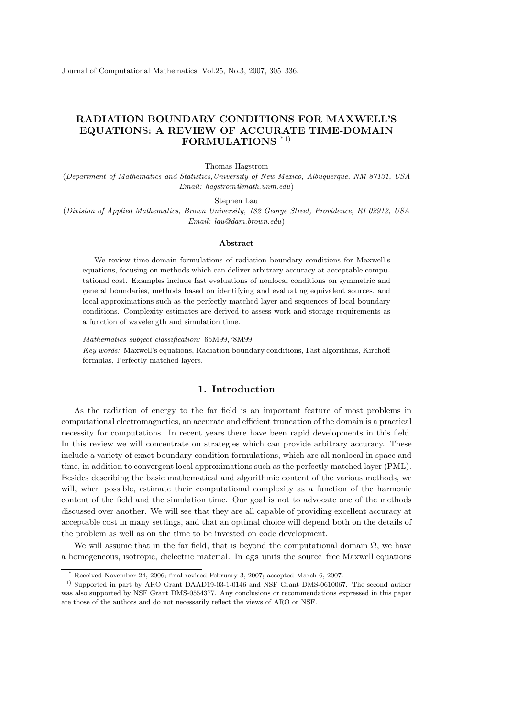Journal of Computational Mathematics, Vol.25, No.3, 2007, 305–336.

# RADIATION BOUNDARY CONDITIONS FOR MAXWELL'S EQUATIONS: A REVIEW OF ACCURATE TIME-DOMAIN FORMULATIONS \*1)

Thomas Hagstrom

(Department of Mathematics and Statistics,University of New Mexico, Albuquerque, NM 87131, USA Email: hagstrom@math.unm.edu)

Stephen Lau

(Division of Applied Mathematics, Brown University, 182 George Street, Providence, RI 02912, USA Email: lau@dam.brown.edu)

#### Abstract

We review time-domain formulations of radiation boundary conditions for Maxwell's equations, focusing on methods which can deliver arbitrary accuracy at acceptable computational cost. Examples include fast evaluations of nonlocal conditions on symmetric and general boundaries, methods based on identifying and evaluating equivalent sources, and local approximations such as the perfectly matched layer and sequences of local boundary conditions. Complexity estimates are derived to assess work and storage requirements as a function of wavelength and simulation time.

Mathematics subject classification: 65M99,78M99. Key words: Maxwell's equations, Radiation boundary conditions, Fast algorithms, Kirchoff formulas, Perfectly matched layers.

## 1. Introduction

As the radiation of energy to the far field is an important feature of most problems in computational electromagnetics, an accurate and efficient truncation of the domain is a practical necessity for computations. In recent years there have been rapid developments in this field. In this review we will concentrate on strategies which can provide arbitrary accuracy. These include a variety of exact boundary condition formulations, which are all nonlocal in space and time, in addition to convergent local approximations such as the perfectly matched layer (PML). Besides describing the basic mathematical and algorithmic content of the various methods, we will, when possible, estimate their computational complexity as a function of the harmonic content of the field and the simulation time. Our goal is not to advocate one of the methods discussed over another. We will see that they are all capable of providing excellent accuracy at acceptable cost in many settings, and that an optimal choice will depend both on the details of the problem as well as on the time to be invested on code development.

We will assume that in the far field, that is beyond the computational domain  $\Omega$ , we have a homogeneous, isotropic, dielectric material. In cgs units the source–free Maxwell equations

Received November 24, 2006; final revised February 3, 2007; accepted March 6, 2007.

<sup>1)</sup> Supported in part by ARO Grant DAAD19-03-1-0146 and NSF Grant DMS-0610067. The second author was also supported by NSF Grant DMS-0554377. Any conclusions or recommendations expressed in this paper are those of the authors and do not necessarily reflect the views of ARO or NSF.